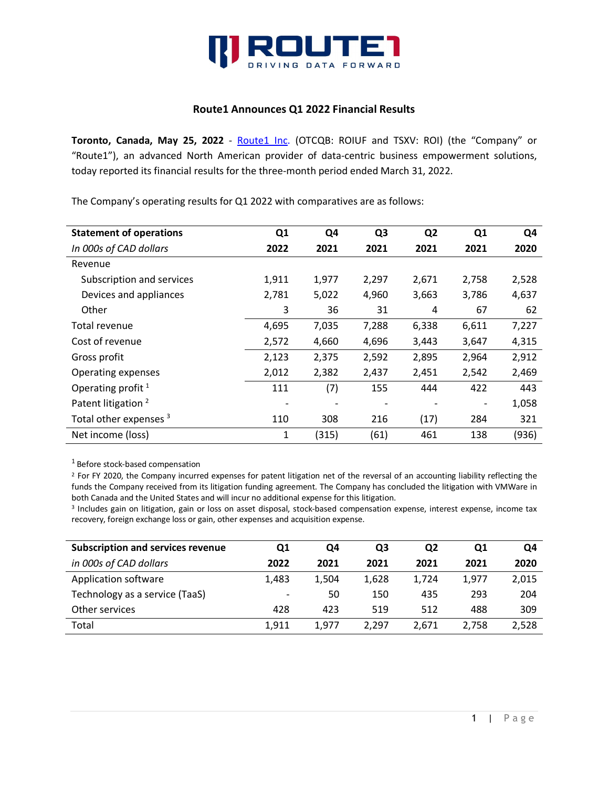

# **Route1 Announces Q1 2022 Financial Results**

**Toronto, Canada, May 25, 2022** - [Route1 Inc.](http://www.route1.com/) (OTCQB: ROIUF and TSXV: ROI) (the "Company" or "Route1"), an advanced North American provider of data-centric business empowerment solutions, today reported its financial results for the three-month period ended March 31, 2022.

| <b>Statement of operations</b>    | Q1                       | Q4    | Q <sub>3</sub> | Q <sub>2</sub> | Q1    | Q4    |
|-----------------------------------|--------------------------|-------|----------------|----------------|-------|-------|
| In 000s of CAD dollars            | 2022                     | 2021  | 2021           | 2021           | 2021  | 2020  |
| Revenue                           |                          |       |                |                |       |       |
| Subscription and services         | 1,911                    | 1,977 | 2,297          | 2,671          | 2,758 | 2,528 |
| Devices and appliances            | 2,781                    | 5,022 | 4,960          | 3,663          | 3,786 | 4,637 |
| Other                             | 3                        | 36    | 31             | 4              | 67    | 62    |
| Total revenue                     | 4,695                    | 7,035 | 7,288          | 6,338          | 6,611 | 7,227 |
| Cost of revenue                   | 2,572                    | 4,660 | 4,696          | 3,443          | 3,647 | 4,315 |
| Gross profit                      | 2,123                    | 2,375 | 2,592          | 2,895          | 2,964 | 2,912 |
| Operating expenses                | 2,012                    | 2,382 | 2,437          | 2,451          | 2,542 | 2,469 |
| Operating profit $1$              | 111                      | (7)   | 155            | 444            | 422   | 443   |
| Patent litigation <sup>2</sup>    | $\overline{\phantom{a}}$ |       |                |                |       | 1,058 |
| Total other expenses <sup>3</sup> | 110                      | 308   | 216            | (17)           | 284   | 321   |
| Net income (loss)                 | $\mathbf 1$              | (315) | (61)           | 461            | 138   | (936) |

The Company's operating results for Q1 2022 with comparatives are as follows:

1 Before stock-based compensation

<sup>2</sup> For FY 2020, the Company incurred expenses for patent litigation net of the reversal of an accounting liability reflecting the funds the Company received from its litigation funding agreement. The Company has concluded the litigation with VMWare in both Canada and the United States and will incur no additional expense for this litigation.

<sup>3</sup> Includes gain on litigation, gain or loss on asset disposal, stock-based compensation expense, interest expense, income tax recovery, foreign exchange loss or gain, other expenses and acquisition expense.

| <b>Subscription and services revenue</b> | Q1                       | Q4    | Q3    | Q2    | Q1    | Q4    |
|------------------------------------------|--------------------------|-------|-------|-------|-------|-------|
| in 000s of CAD dollars                   | 2022                     | 2021  | 2021  | 2021  | 2021  | 2020  |
| Application software                     | 1,483                    | 1.504 | 1.628 | 1.724 | 1,977 | 2,015 |
| Technology as a service (TaaS)           | $\overline{\phantom{a}}$ | 50    | 150   | 435   | 293   | 204   |
| Other services                           | 428                      | 423   | 519   | 512   | 488   | 309   |
| Total                                    | 1.911                    | 1.977 | 2.297 | 2.671 | 2,758 | 2,528 |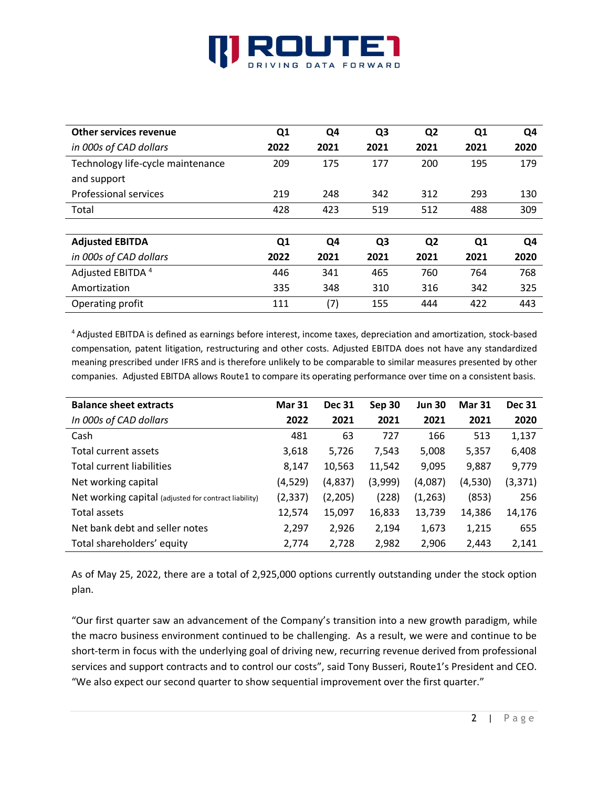

| Other services revenue            | Q1   | Q4   | Q <sub>3</sub> | Q <sub>2</sub> | Q <sub>1</sub> | Q4   |
|-----------------------------------|------|------|----------------|----------------|----------------|------|
| in 000s of CAD dollars            | 2022 | 2021 | 2021           | 2021           | 2021           | 2020 |
| Technology life-cycle maintenance | 209  | 175  | 177            | 200            | 195            | 179  |
| and support                       |      |      |                |                |                |      |
| Professional services             | 219  | 248  | 342            | 312            | 293            | 130  |
| Total                             | 428  | 423  | 519            | 512            | 488            | 309  |
|                                   |      |      |                |                |                |      |
| <b>Adjusted EBITDA</b>            | Q1   | Q4   | Q <sub>3</sub> | Q <sub>2</sub> | Q <sub>1</sub> | Q4   |
| in 000s of CAD dollars            | 2022 | 2021 | 2021           | 2021           | 2021           | 2020 |
| Adjusted EBITDA <sup>4</sup>      | 446  | 341  | 465            | 760            | 764            | 768  |
| Amortization                      | 335  | 348  | 310            | 316            | 342            | 325  |
| Operating profit                  | 111  | (7)  | 155            | 444            | 422            | 443  |

4 Adjusted EBITDA is defined as earnings before interest, income taxes, depreciation and amortization, stock-based compensation, patent litigation, restructuring and other costs. Adjusted EBITDA does not have any standardized meaning prescribed under IFRS and is therefore unlikely to be comparable to similar measures presented by other companies. Adjusted EBITDA allows Route1 to compare its operating performance over time on a consistent basis.

| <b>Balance sheet extracts</b>                         | <b>Mar 31</b> | <b>Dec 31</b> | <b>Sep 30</b> | <b>Jun 30</b> | <b>Mar 31</b> | <b>Dec 31</b> |
|-------------------------------------------------------|---------------|---------------|---------------|---------------|---------------|---------------|
| In 000s of CAD dollars                                | 2022          | 2021          | 2021          | 2021          | 2021          | 2020          |
| Cash                                                  | 481           | 63            | 727           | 166           | 513           | 1,137         |
| Total current assets                                  | 3,618         | 5,726         | 7,543         | 5,008         | 5,357         | 6,408         |
| <b>Total current liabilities</b>                      | 8,147         | 10,563        | 11,542        | 9,095         | 9,887         | 9,779         |
| Net working capital                                   | (4, 529)      | (4,837)       | (3,999)       | (4,087)       | (4,530)       | (3, 371)      |
| Net working capital (adjusted for contract liability) | (2, 337)      | (2,205)       | (228)         | (1, 263)      | (853)         | 256           |
| Total assets                                          | 12,574        | 15,097        | 16,833        | 13,739        | 14,386        | 14,176        |
| Net bank debt and seller notes                        | 2,297         | 2,926         | 2,194         | 1,673         | 1,215         | 655           |
| Total shareholders' equity                            | 2,774         | 2,728         | 2,982         | 2,906         | 2,443         | 2,141         |

As of May 25, 2022, there are a total of 2,925,000 options currently outstanding under the stock option plan.

"Our first quarter saw an advancement of the Company's transition into a new growth paradigm, while the macro business environment continued to be challenging. As a result, we were and continue to be short-term in focus with the underlying goal of driving new, recurring revenue derived from professional services and support contracts and to control our costs", said Tony Busseri, Route1's President and CEO. "We also expect our second quarter to show sequential improvement over the first quarter."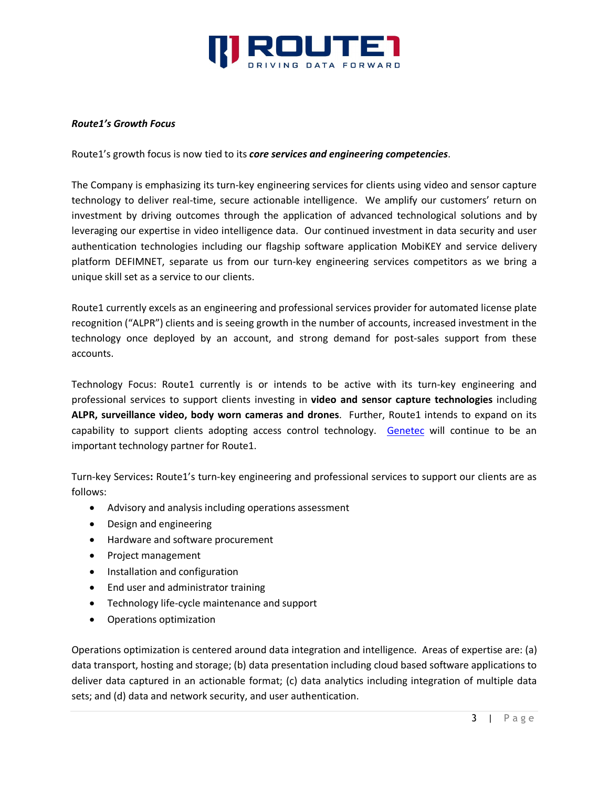

## *Route1's Growth Focus*

Route1's growth focus is now tied to its *core services and engineering competencies*.

The Company is emphasizing its turn-key engineering services for clients using video and sensor capture technology to deliver real-time, secure actionable intelligence. We amplify our customers' return on investment by driving outcomes through the application of advanced technological solutions and by leveraging our expertise in video intelligence data. Our continued investment in data security and user authentication technologies including our flagship software application MobiKEY and service delivery platform DEFIMNET, separate us from our turn-key engineering services competitors as we bring a unique skill set as a service to our clients.

Route1 currently excels as an engineering and professional services provider for automated license plate recognition ("ALPR") clients and is seeing growth in the number of accounts, increased investment in the technology once deployed by an account, and strong demand for post-sales support from these accounts.

Technology Focus: Route1 currently is or intends to be active with its turn-key engineering and professional services to support clients investing in **video and sensor capture technologies** including **ALPR, surveillance video, body worn cameras and drones**. Further, Route1 intends to expand on its capability to support clients adopting access control technology. [Genetec](http://www.genetec.com/) will continue to be an important technology partner for Route1.

Turn-key Services**:** Route1's turn-key engineering and professional services to support our clients are as follows:

- Advisory and analysis including operations assessment
- Design and engineering
- Hardware and software procurement
- Project management
- Installation and configuration
- End user and administrator training
- Technology life-cycle maintenance and support
- Operations optimization

Operations optimization is centered around data integration and intelligence. Areas of expertise are: (a) data transport, hosting and storage; (b) data presentation including cloud based software applications to deliver data captured in an actionable format; (c) data analytics including integration of multiple data sets; and (d) data and network security, and user authentication.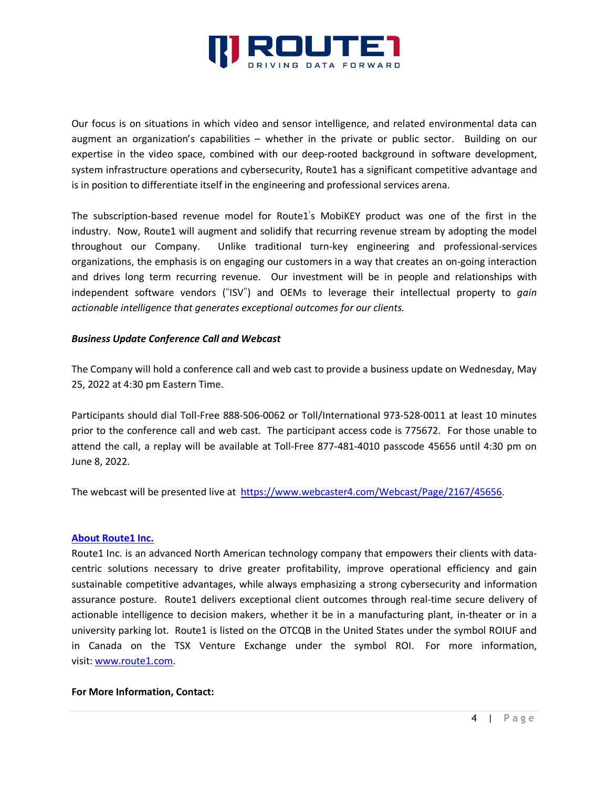

Our focus is on situations in which video and sensor intelligence, and related environmental data can augment an organization's capabilities – whether in the private or public sector. Building on our expertise in the video space, combined with our deep-rooted background in software development, system infrastructure operations and cybersecurity, Route1 has a significant competitive advantage and is in position to differentiate itself in the engineering and professional services arena.

The subscription-based revenue model for Route1's MobiKEY product was one of the first in the industry. Now, Route1 will augment and solidify that recurring revenue stream by adopting the model throughout our Company. Unlike traditional turn-key engineering and professional-services organizations, the emphasis is on engaging our customers in a way that creates an on-going interaction and drives long term recurring revenue. Our investment will be in people and relationships with independent software vendors ("ISV") and OEMs to leverage their intellectual property to *gain actionable intelligence that generates exceptional outcomes for our clients.*

## *Business Update Conference Call and Webcast*

The Company will hold a conference call and web cast to provide a business update on Wednesday, May 25, 2022 at 4:30 pm Eastern Time.

Participants should dial Toll-Free 888-506-0062 or Toll/International 973-528-0011 at least 10 minutes prior to the conference call and web cast. The participant access code is 775672. For those unable to attend the call, a replay will be available at Toll-Free 877-481-4010 passcode 45656 until 4:30 pm on June 8, 2022.

The webcast will be presented live at [https://www.webcaster4.com/Webcast/Page/2167/45656.](https://www.webcaster4.com/Webcast/Page/2167/45656)

## **[About Route1 Inc.](http://www.route1.com/)**

Route1 Inc. is an advanced North American technology company that empowers their clients with datacentric solutions necessary to drive greater profitability, improve operational efficiency and gain sustainable competitive advantages, while always emphasizing a strong cybersecurity and information assurance posture. Route1 delivers exceptional client outcomes through real-time secure delivery of actionable intelligence to decision makers, whether it be in a manufacturing plant, in-theater or in a university parking lot. Route1 is listed on the OTCQB in the United States under the symbol ROIUF and in Canada on the TSX Venture Exchange under the symbol ROI. For more information, visit: [www.route1.com.](http://www.route1.com/)

### **For More Information, Contact:**